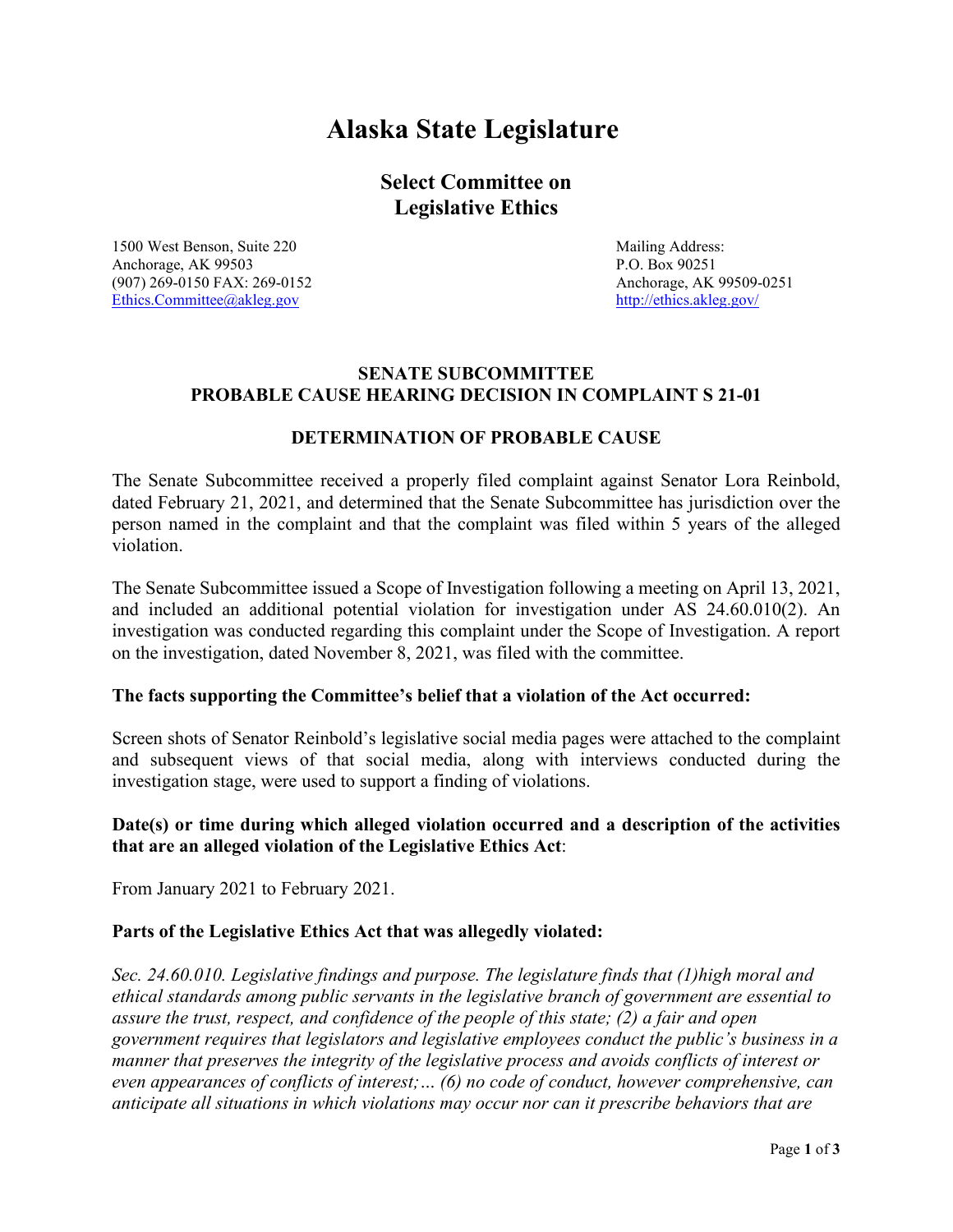# **Alaska State Legislature**

**Select Committee on Legislative Ethics**

1500 West Benson, Suite 220 and Suite 220 and Suite 20 and Mailing Address: Anchorage, AK 99503<br>
(907) 269-0150 FAX: 269-0152<br>
Anchorage, AK 99509-0251 (907) 269-0150 FAX: 269-0152 [Ethics.Committee@akleg.gov](mailto:Ethics.Committee@akleg.gov) <http://ethics.akleg.gov/>

#### **SENATE SUBCOMMITTEE PROBABLE CAUSE HEARING DECISION IN COMPLAINT S 21-01**

#### **DETERMINATION OF PROBABLE CAUSE**

The Senate Subcommittee received a properly filed complaint against Senator Lora Reinbold, dated February 21, 2021, and determined that the Senate Subcommittee has jurisdiction over the person named in the complaint and that the complaint was filed within 5 years of the alleged violation.

The Senate Subcommittee issued a Scope of Investigation following a meeting on April 13, 2021, and included an additional potential violation for investigation under AS 24.60.010(2). An investigation was conducted regarding this complaint under the Scope of Investigation. A report on the investigation, dated November 8, 2021, was filed with the committee.

#### **The facts supporting the Committee's belief that a violation of the Act occurred:**

Screen shots of Senator Reinbold's legislative social media pages were attached to the complaint and subsequent views of that social media, along with interviews conducted during the investigation stage, were used to support a finding of violations.

#### **Date(s) or time during which alleged violation occurred and a description of the activities that are an alleged violation of the Legislative Ethics Act**:

From January 2021 to February 2021.

#### **Parts of the Legislative Ethics Act that was allegedly violated:**

*Sec. 24.60.010. Legislative findings and purpose. The legislature finds that (1)high moral and ethical standards among public servants in the legislative branch of government are essential to assure the trust, respect, and confidence of the people of this state; (2) a fair and open government requires that legislators and legislative employees conduct the public's business in a manner that preserves the integrity of the legislative process and avoids conflicts of interest or even appearances of conflicts of interest;… (6) no code of conduct, however comprehensive, can anticipate all situations in which violations may occur nor can it prescribe behaviors that are*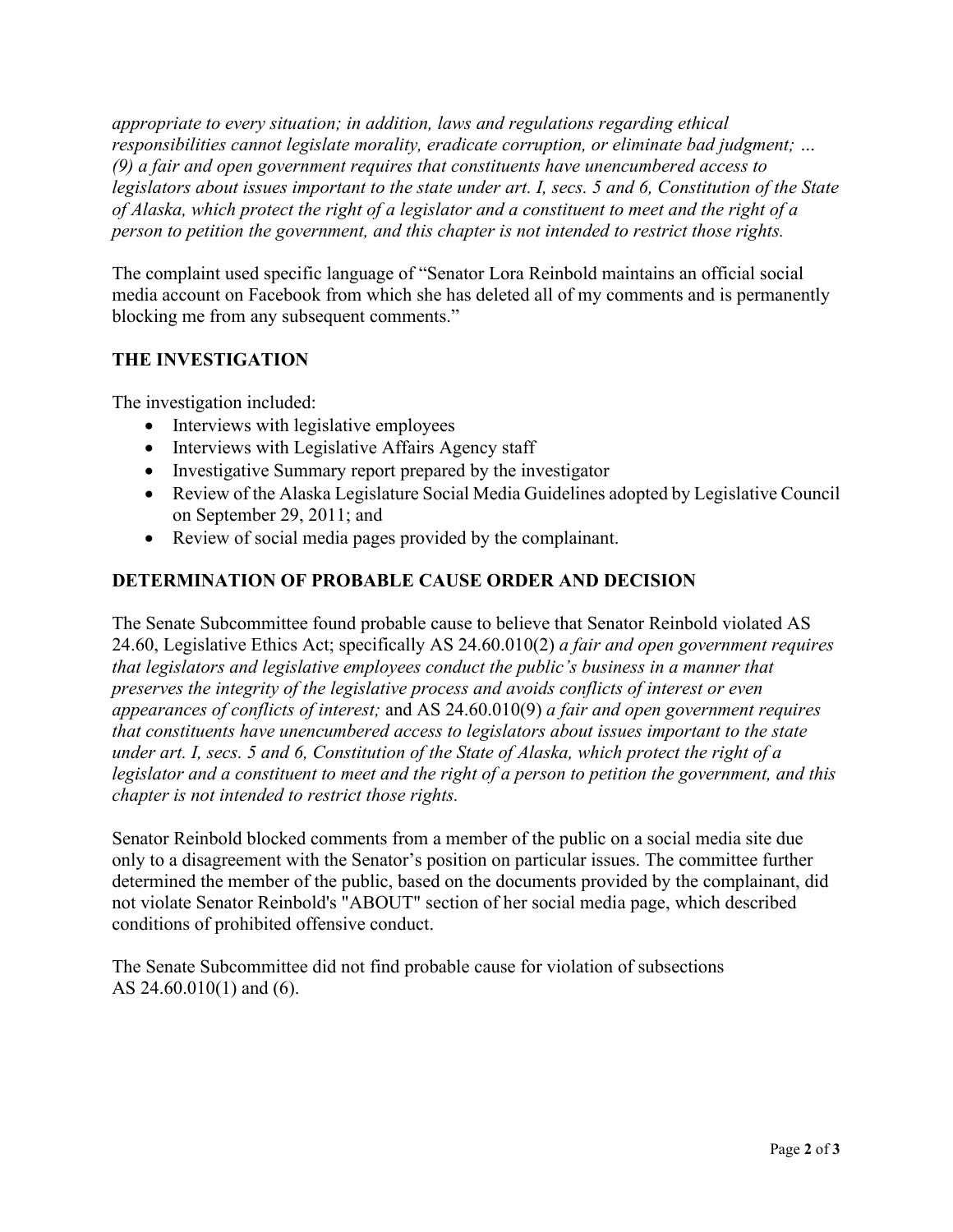*appropriate to every situation; in addition, laws and regulations regarding ethical responsibilities cannot legislate morality, eradicate corruption, or eliminate bad judgment; … (9) a fair and open government requires that constituents have unencumbered access to legislators about issues important to the state under art. I, secs. 5 and 6, Constitution of the State of Alaska, which protect the right of a legislator and a constituent to meet and the right of a person to petition the government, and this chapter is not intended to restrict those rights.*

The complaint used specific language of "Senator Lora Reinbold maintains an official social media account on Facebook from which she has deleted all of my comments and is permanently blocking me from any subsequent comments."

## **THE INVESTIGATION**

The investigation included:

- Interviews with legislative employees
- Interviews with Legislative Affairs Agency staff
- Investigative Summary report prepared by the investigator
- Review of the Alaska Legislature Social Media Guidelines adopted by Legislative Council on September 29, 2011; and
- Review of social media pages provided by the complainant.

# **DETERMINATION OF PROBABLE CAUSE ORDER AND DECISION**

The Senate Subcommittee found probable cause to believe that Senator Reinbold violated AS 24.60, Legislative Ethics Act; specifically AS 24.60.010(2) *a fair and open government requires that legislators and legislative employees conduct the public's business in a manner that preserves the integrity of the legislative process and avoids conflicts of interest or even appearances of conflicts of interest;* and AS 24.60.010(9) *a fair and open government requires that constituents have unencumbered access to legislators about issues important to the state under art. I, secs. 5 and 6, Constitution of the State of Alaska, which protect the right of a legislator and a constituent to meet and the right of a person to petition the government, and this chapter is not intended to restrict those rights.* 

Senator Reinbold blocked comments from a member of the public on a social media site due only to a disagreement with the Senator's position on particular issues. The committee further determined the member of the public, based on the documents provided by the complainant, did not violate Senator Reinbold's "ABOUT" section of her social media page, which described conditions of prohibited offensive conduct.

The Senate Subcommittee did not find probable cause for violation of subsections AS 24.60.010(1) and (6).